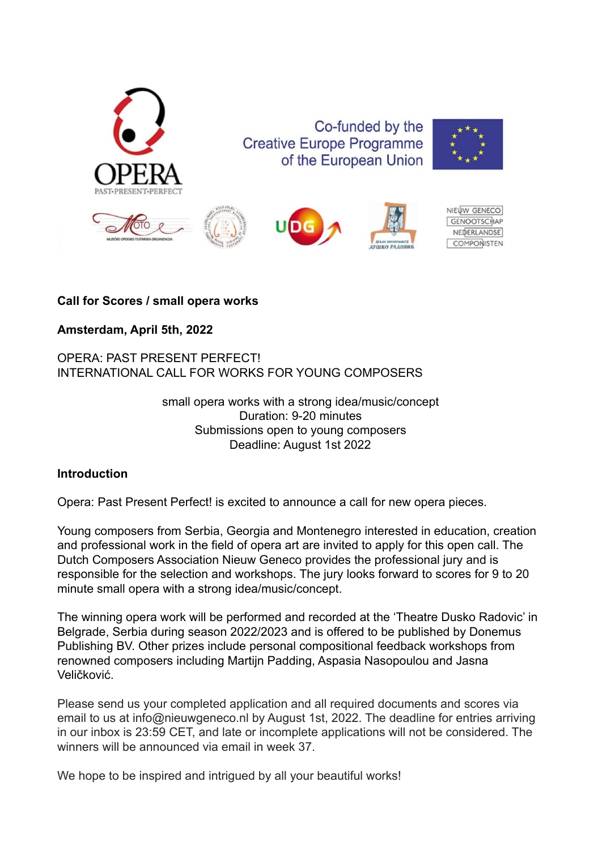

Co-funded by the **Creative Europe Programme** of the European Union









NIEUW GENECO **GENOOTSCHAP** NEDERLANDSE **COMPONISTEN** 

## **Call for Scores / small opera works**

**Amsterdam, April 5th, 2022**

OPERA: PAST PRESENT PERFECT! INTERNATIONAL CALL FOR WORKS FOR YOUNG COMPOSERS

> small opera works with a strong idea/music/concept Duration: 9-20 minutes Submissions open to young composers Deadline: August 1st 2022

## **Introduction**

Opera: Past Present Perfect! is excited to announce a call for new opera pieces.

Young composers from Serbia, Georgia and Montenegro interested in education, creation and professional work in the field of opera art are invited to apply for this open call. The Dutch Composers Association Nieuw Geneco provides the professional jury and is responsible for the selection and workshops. The jury looks forward to scores for 9 to 20 minute small opera with a strong idea/music/concept.

The winning opera work will be performed and recorded at the 'Theatre Dusko Radovic' in Belgrade, Serbia during season 2022/2023 and is offered to be published by Donemus Publishing BV. Other prizes include personal compositional feedback workshops from renowned composers including Martijn Padding, Aspasia Nasopoulou and Jasna Veličković.

Please send us your completed application and all required documents and scores via email to us at info@nieuwgeneco.nl by August 1st, 2022. The deadline for entries arriving in our inbox is 23:59 CET, and late or incomplete applications will not be considered. The winners will be announced via email in week 37.

We hope to be inspired and intrigued by all your beautiful works!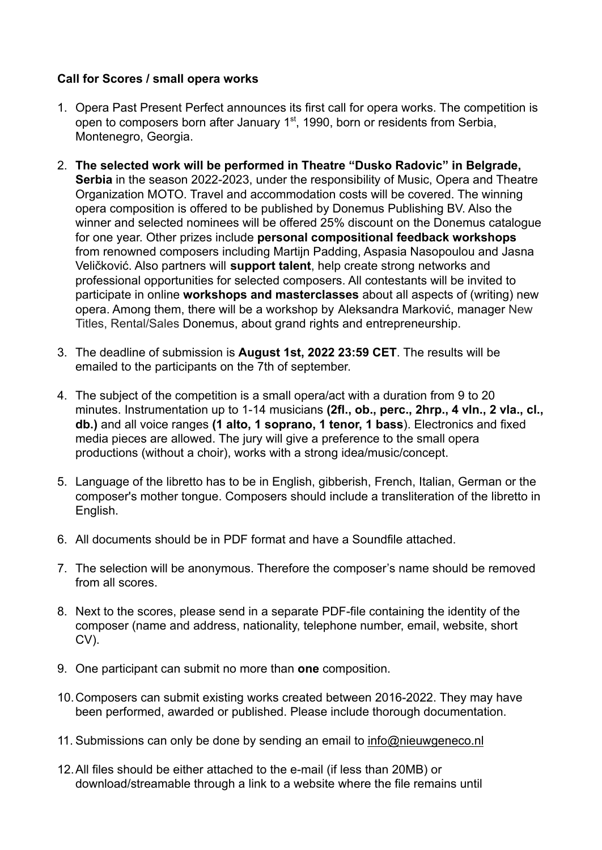## **Call for Scores / small opera works**

- 1. Opera Past Present Perfect announces its first call for opera works. The competition is open to composers born after January 1<sup>st</sup>, 1990, born or residents from Serbia, Montenegro, Georgia.
- 2. **The selected work will be performed in Theatre "Dusko Radovic" in Belgrade, Serbia** in the season 2022-2023, under the responsibility of Music, Opera and Theatre Organization MOTO. Travel and accommodation costs will be covered. The winning opera composition is offered to be published by Donemus Publishing BV. Also the winner and selected nominees will be offered 25% discount on the Donemus catalogue for one year. Other prizes include **personal compositional feedback workshops** from renowned composers including Martijn Padding, Aspasia Nasopoulou and Jasna Veličković. Also partners will **support talent**, help create strong networks and professional opportunities for selected composers. All contestants will be invited to participate in online **workshops and masterclasses** about all aspects of (writing) new opera. Among them, there will be a workshop by Aleksandra Marković, manager New Titles, Rental/Sales Donemus, about grand rights and entrepreneurship.
- 3. The deadline of submission is **August 1st, 2022 23:59 CET**. The results will be emailed to the participants on the 7th of september.
- 4. The subject of the competition is a small opera/act with a duration from 9 to 20 minutes. Instrumentation up to 1-14 musicians **(2fl., ob., perc., 2hrp., 4 vln., 2 vla., cl., db.)** and all voice ranges **(1 alto, 1 soprano, 1 tenor, 1 bass**). Electronics and fixed media pieces are allowed. The jury will give a preference to the small opera productions (without a choir), works with a strong idea/music/concept.
- 5. Language of the libretto has to be in English, gibberish, French, Italian, German or the composer's mother tongue. Composers should include a transliteration of the libretto in English.
- 6. All documents should be in PDF format and have a Soundfile attached.
- 7. The selection will be anonymous. Therefore the composer's name should be removed from all scores.
- 8. Next to the scores, please send in a separate PDF-file containing the identity of the composer (name and address, nationality, telephone number, email, website, short CV).
- 9. One participant can submit no more than **one** composition.
- 10.Composers can submit existing works created between 2016-2022. They may have been performed, awarded or published. Please include thorough documentation.
- 11. Submissions can only be done by sending an email to [info@nieuwgeneco.nl](mailto:info@nieuwgeneco.nl)
- 12.All files should be either attached to the e-mail (if less than 20MB) or download/streamable through a link to a website where the file remains until